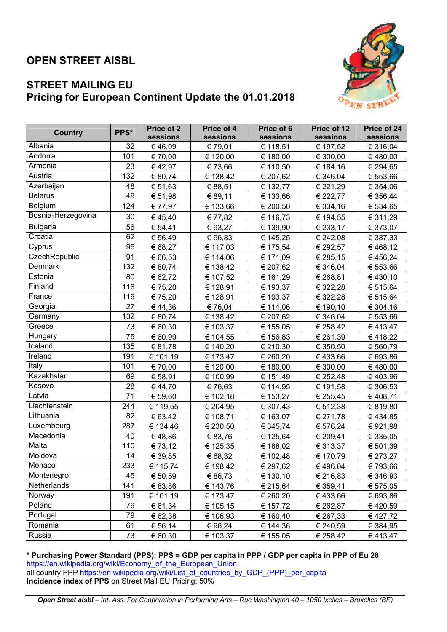## **OPEN STREET AISBL**



## **STREET MAILING EU Pricing for European Continent Update the 01.01.2018**

| <b>Country</b>     | PPS* | Price of 2<br>sessions | Price of 4<br>sessions | Price of 6<br>sessions | Price of 12<br>sessions | Price of 24<br>sessions |
|--------------------|------|------------------------|------------------------|------------------------|-------------------------|-------------------------|
| Albania            | 32   | €46,09                 | € 79,01                | € 118,51               | € 197,52                | € 316,04                |
| Andorra            | 101  | € 70,00                | € 120,00               | € 180,00               | € 300,00                | €480,00                 |
| Armenia            | 23   | € 42,97                | € 73,66                | € 110,50               | € 184,16                | € 294,65                |
| Austria            | 132  | € 80,74                | € 138,42               | € 207,62               | € 346,04                | € 553,66                |
| Azerbaijan         | 48   | € 51,63                | € 88,51                | € 132,77               | € 221,29                | € 354,06                |
| <b>Belarus</b>     | 49   | € 51,98                | € 89,11                | € 133,66               | € 222,77                | € 356,44                |
| Belgium            | 124  | € 77,97                | € 133,66               | € 200,50               | € 334,16                | € 534,65                |
| Bosnia-Herzegovina | 30   | €45,40                 | € 77,82                | € 116,73               | € 194,55                | € 311,29                |
| <b>Bulgaria</b>    | 56   | € 54,41                | € 93,27                | € 139,90               | € 233,17                | € 373,07                |
| Croatia            | 62   | € 56,49                | €96,83                 | € 145,25               | € 242,08                | € 387,33                |
| Cyprus             | 96   | € 68,27                | € 117,03               | € 175,54               | € 292,57                | €468,12                 |
| CzechRepublic      | 91   | € 66,53                | € 114,06               | € 171,09               | € 285,15                | € 456,24                |
| <b>Denmark</b>     | 132  | € 80,74                | € 138,42               | € 207,62               | € 346,04                | € 553,66                |
| Estonia            | 80   | € 62,72                | € 107,52               | € 161,29               | € 268,81                | € 430,10                |
| Finland            | 116  | € 75,20                | € 128,91               | € 193,37               | € 322,28                | € 515,64                |
| France             | 116  | € 75,20                | € 128,91               | € 193,37               | € 322,28                | € 515,64                |
| Georgia            | 27   | €44,36                 | € 76,04                | € 114,06               | € 190,10                | € 304,16                |
| Germany            | 132  | € 80,74                | € 138,42               | € 207,62               | € 346,04                | € 553,66                |
| Greece             | 73   | € 60,30                | € 103,37               | € 155,05               | € 258,42                | €413,47                 |
| Hungary            | 75   | € 60,99                | € 104,55               | € 156,83               | € 261,39                | €418,22                 |
| Iceland            | 135  | € 81,78                | € 140,20               | € 210,30               | € 350,50                | € 560,79                |
| Ireland            | 191  | € 101,19               | € 173,47               | € 260,20               | € 433,66                | € 693,86                |
| Italy              | 101  | € 70,00                | € 120,00               | € 180,00               | € 300,00                | €480,00                 |
| Kazakhstan         | 69   | € 58,91                | € 100,99               | € 151,49               | € 252,48                | €403,96                 |
| Kosovo             | 28   | €44,70                 | €76,63                 | € 114,95               | € 191,58                | € 306,53                |
| Latvia             | 71   | € 59,60                | € 102,18               | € 153,27               | € 255,45                | € 408,71                |
| Liechtenstein      | 244  | € 119,55               | € 204,95               | € 307,43               | € 512,38                | € 819,80                |
| Lithuania          | 82   | € 63,42                | € 108,71               | € 163,07               | € 271,78                | €434,85                 |
| Luxembourg         | 287  | € 134,46               | € 230,50               | € 345,74               | € 576,24                | € 921,98                |
| Macedonia          | 40   | €48,86                 | € 83,76                | € 125,64               | € 209,41                | € 335,05                |
| Malta              | 110  | € 73,12                | € 125,35               | € 188,02               | € 313,37                | € 501,39                |
| Moldova            | 14   | € 39,85                | € 68,32                | € 102,48               | € 170,79                | € 273,27                |
| Monaco             | 233  | € 115,74               | € 198,42               | € 297,62               | €496,04                 | € 793,66                |
| Montenegro         | 45   | € 50,59                | € 86,73                | € 130,10               | € 216,83                | € 346,93                |
| Netherlands        | 141  | € 83,86                | € 143,76               | € 215,64               | € 359,41                | € 575,05                |
| Norway             | 191  | € 101,19               | € 173,47               | € 260,20               | €433,66                 | € 693,86                |
| Poland             | 76   | € 61,34                | € 105,15               | € 157,72               | € 262,87                | €420,59                 |
| Portugal           | 79   | € 62,38                | € 106,93               | € 160,40               | € 267,33                | € 427,72                |
| Romania            | 61   | € 56,14                | € 96,24                | € 144,36               | € 240,59                | € 384,95                |
| Russia             | 73   | € 60,30                | € 103,37               | € 155,05               | € 258,42                | € 413,47                |

**\* Purchasing Power Standard (PPS); PPS = GDP per capita in PPP / GDP per capita in PPP of Eu 28**  https://en.wikipedia.org/wiki/Economy\_of\_the\_European\_Union all country PPP https://en.wikipedia.org/wiki/List\_of\_countries\_by\_GDP\_(PPP)\_per\_capita **Incidence index of PPS** on Street Mail EU Pricing: 50%

*Open Street aisbl – Int. Ass. For Cooperation in Performing Arts – Rue Washington 40 – 1050 Ixelles – Bruxelles (BE)*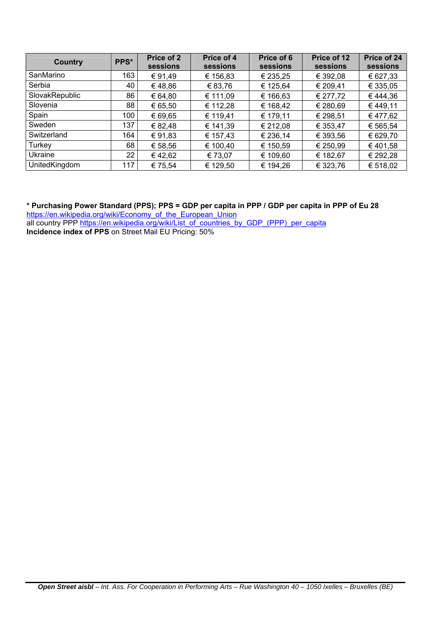| <b>Country</b> | PPS* | Price of 2<br>sessions | Price of 4<br>sessions | Price of 6<br>sessions | Price of 12<br>sessions | Price of 24<br>sessions |
|----------------|------|------------------------|------------------------|------------------------|-------------------------|-------------------------|
| SanMarino      | 163  | €91,49                 | € 156,83               | € 235,25               | € 392,08                | € 627,33                |
| Serbia         | 40   | €48,86                 | € 83,76                | € 125,64               | € 209,41                | € 335,05                |
| SlovakRepublic | 86   | € 64,80                | € 111,09               | € 166,63               | € 277,72                | €444,36                 |
| Slovenia       | 88   | € 65,50                | € 112,28               | € 168,42               | € 280,69                | €449,11                 |
| Spain          | 100  | € 69,65                | € 119,41               | € 179,11               | € 298,51                | €477,62                 |
| Sweden         | 137  | € 82,48                | € 141,39               | € 212,08               | € 353,47                | € 565,54                |
| Switzerland    | 164  | €91,83                 | € 157,43               | € 236,14               | € 393,56                | € 629,70                |
| Turkey         | 68   | € 58,56                | € 100,40               | € 150,59               | € 250,99                | €401,58                 |
| Ukraine        | 22   | €42,62                 | € 73,07                | € 109,60               | € 182,67                | € 292,28                |
| UnitedKingdom  | 117  | € 75,54                | € 129,50               | € 194,26               | € 323,76                | € 518,02                |

**\* Purchasing Power Standard (PPS); PPS = GDP per capita in PPP / GDP per capita in PPP of Eu 28** 

https://en.wikipedia.org/wiki/Economy\_of\_the\_European\_Union all country PPP https://en.wikipedia.org/wiki/List\_of\_countries\_by\_GDP\_(PPP)\_per\_capita **Incidence index of PPS** on Street Mail EU Pricing: 50%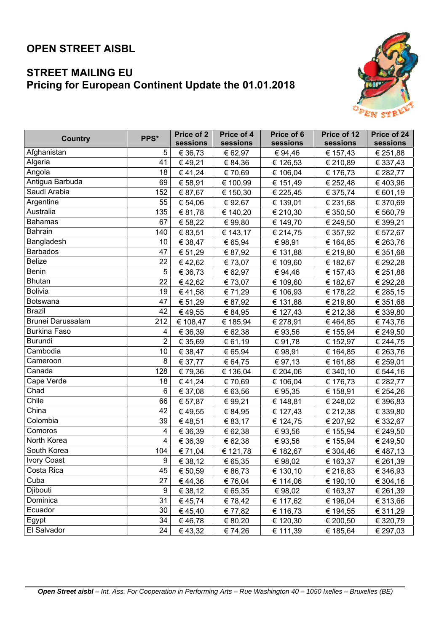## **OPEN STREET AISBL**

## **STREET MAILING EU Pricing for European Continent Update the 01.01.2018**



| <b>Country</b>           | PPS*           | Price of 2 | Price of 4 | Price of 6 | Price of 12 | Price of 24 |
|--------------------------|----------------|------------|------------|------------|-------------|-------------|
|                          |                | sessions   | sessions   | sessions   | sessions    | sessions    |
| Afghanistan              | 5              | € 36,73    | € 62,97    | € 94,46    | € 157,43    | € 251,88    |
| Algeria                  | 41             | €49,21     | € 84,36    | € 126,53   | € 210,89    | € 337,43    |
| Angola                   | 18             | €41,24     | € 70,69    | € 106,04   | € 176,73    | € 282,77    |
| Antigua Barbuda          | 69             | € 58,91    | € 100,99   | € 151,49   | € 252,48    | €403,96     |
| Saudi Arabia             | 152            | € 87,67    | € 150,30   | € 225,45   | € 375,74    | € 601,19    |
| Argentine                | 55             | € 54,06    | € 92,67    | € 139,01   | € 231,68    | € 370,69    |
| Australia                | 135            | € 81,78    | € 140,20   | € 210,30   | € 350,50    | € 560,79    |
| <b>Bahamas</b>           | 67             | € 58,22    | € 99,80    | € 149,70   | € 249,50    | € 399,21    |
| <b>Bahrain</b>           | 140            | € 83,51    | € 143,17   | € 214,75   | € 357,92    | € 572,67    |
| Bangladesh               | 10             | € 38,47    | € 65,94    | € 98,91    | € 164,85    | € 263,76    |
| <b>Barbados</b>          | 47             | € 51,29    | € 87,92    | € 131,88   | € 219,80    | € 351,68    |
| <b>Belize</b>            | 22             | €42,62     | € 73,07    | € 109,60   | € 182,67    | € 292,28    |
| <b>Benin</b>             | 5              | € 36,73    | € 62,97    | € 94,46    | € 157,43    | € 251,88    |
| <b>Bhutan</b>            | 22             | €42,62     | € 73,07    | € 109,60   | € 182,67    | € 292,28    |
| <b>Bolivia</b>           | 19             | €41,58     | € 71,29    | € 106,93   | € 178,22    | € 285,15    |
| <b>Botswana</b>          | 47             | € 51,29    | € 87,92    | € 131,88   | € 219,80    | € 351,68    |
| <b>Brazil</b>            | 42             | €49,55     | € 84,95    | € 127,43   | € 212,38    | € 339,80    |
| <b>Brunei Darussalam</b> | 212            | € 108,47   | € 185,94   | € 278,91   | €464,85     | € 743,76    |
| <b>Burkina Faso</b>      | 4              | € 36,39    | € 62,38    | € 93,56    | € 155,94    | € 249,50    |
| Burundi                  | $\overline{2}$ | € 35,69    | € 61,19    | € 91,78    | € 152,97    | € 244,75    |
| Cambodia                 | 10             | € 38,47    | € 65,94    | € 98,91    | € 164,85    | € 263,76    |
| Cameroon                 | 8              | € 37,77    | € 64,75    | € 97,13    | € 161,88    | € 259,01    |
| Canada                   | 128            | € 79,36    | € 136,04   | € 204,06   | € 340,10    | € 544,16    |
| Cape Verde               | 18             | €41,24     | € 70,69    | € 106,04   | € 176,73    | € 282,77    |
| Chad                     | 6              | € 37,08    | € 63,56    | € 95,35    | € 158,91    | € 254,26    |
| Chile                    | 66             | € 57,87    | € 99,21    | € 148,81   | € 248,02    | € 396,83    |
| China                    | 42             | €49,55     | € 84,95    | € 127,43   | € 212,38    | € 339,80    |
| Colombia                 | 39             | €48,51     | € 83,17    | € 124,75   | € 207,92    | € 332,67    |
| Comoros                  | 4              | € 36,39    | € 62,38    | € 93,56    | € 155,94    | € 249,50    |
| North Korea              | 4              | € 36,39    | € 62,38    | € 93,56    | € 155,94    | € 249,50    |
| South Korea              | 104            | € 71,04    | € 121,78   | € 182,67   | € 304,46    | € 487,13    |
| <b>Ivory Coast</b>       | 9              | € 38,12    | € 65,35    | € 98,02    | € 163,37    | € 261,39    |
| Costa Rica               | 45             | € 50,59    | € 86,73    | € 130,10   | € 216,83    | € 346,93    |
| Cuba                     | 27             | €44,36     | € 76,04    | € 114,06   | € 190,10    | € 304,16    |
| Djibouti                 | 9              | € 38,12    | € 65,35    | € 98,02    | € 163,37    | € 261,39    |
| Dominica                 | 31             | €45,74     | €78,42     | € 117,62   | € 196,04    | € 313,66    |
| Ecuador                  | 30             | €45,40     | € 77,82    | € 116,73   | € 194,55    | € 311,29    |
| Egypt                    | 34             | €46,78     | € 80,20    | € 120,30   | € 200,50    | € 320,79    |
| El Salvador              | 24             | € 43,32    | € 74,26    | € 111,39   | € 185,64    | € 297,03    |
|                          |                |            |            |            |             |             |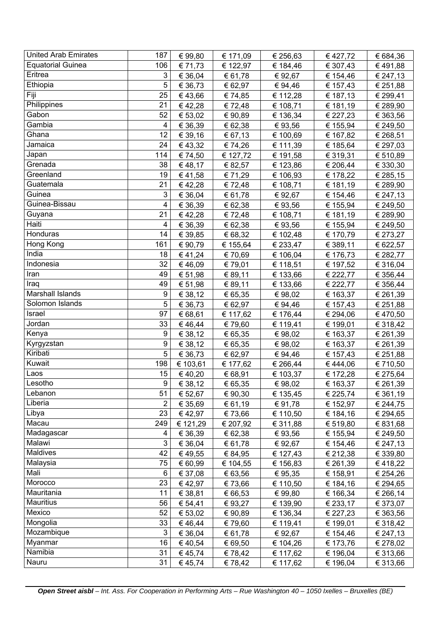| <b>United Arab Emirates</b> | 187              | € 99,80  | € 171,09 | € 256,63 | € 427,72 | € 684,36 |
|-----------------------------|------------------|----------|----------|----------|----------|----------|
| <b>Equatorial Guinea</b>    | 106              | € 71,73  | € 122,97 | € 184,46 | € 307,43 | €491,88  |
| Eritrea                     | 3                | € 36,04  | € 61,78  | € 92,67  | € 154,46 | € 247,13 |
| Ethiopia                    | 5                | € 36,73  | € 62,97  | € 94,46  | € 157,43 | € 251,88 |
| Fiji                        | 25               | €43,66   | € 74,85  | € 112,28 | € 187,13 | € 299,41 |
| Philippines                 | 21               | €42,28   | €72,48   | € 108,71 | € 181,19 | € 289,90 |
| Gabon                       | 52               | € 53,02  | € 90,89  | € 136,34 | € 227,23 | € 363,56 |
| Gambia                      | 4                | € 36,39  | € 62,38  | € 93,56  | € 155,94 | € 249,50 |
| Ghana                       | 12               | € 39,16  | € 67,13  | € 100,69 | € 167,82 | € 268,51 |
| Jamaica                     | 24               | € 43,32  | € 74,26  | € 111,39 | € 185,64 | € 297,03 |
| Japan                       | 114              | € 74,50  | € 127,72 | € 191,58 | € 319,31 | € 510,89 |
| Grenada                     | 38               | €48,17   | € 82,57  | € 123,86 | € 206,44 | € 330,30 |
| Greenland                   | 19               | €41,58   | € 71,29  | € 106,93 | € 178,22 | € 285,15 |
| Guatemala                   | 21               | €42,28   | €72,48   | € 108,71 | € 181,19 | € 289,90 |
| Guinea                      | 3                | € 36,04  | € 61,78  | € 92,67  | € 154,46 | € 247,13 |
| Guinea-Bissau               | 4                | € 36,39  | € 62,38  | € 93,56  | € 155,94 | € 249,50 |
| Guyana                      | 21               | €42,28   | €72,48   | € 108,71 | € 181,19 | € 289,90 |
| Haiti                       | 4                | € 36,39  | € 62,38  | € 93,56  | € 155,94 | € 249,50 |
| Honduras                    | 14               | € 39,85  | € 68,32  | € 102,48 | € 170,79 | € 273,27 |
| Hong Kong                   | 161              | € 90,79  | € 155,64 | € 233,47 | € 389,11 | € 622,57 |
| India                       | 18               | €41,24   | € 70,69  | € 106,04 | € 176,73 | € 282,77 |
| Indonesia                   | 32               | €46,09   | € 79,01  | € 118,51 | € 197,52 | € 316,04 |
| Iran                        | 49               | € 51,98  | € 89,11  | € 133,66 | € 222,77 | € 356,44 |
| Iraq                        | 49               | € 51,98  | € 89,11  | € 133,66 | € 222,77 | € 356,44 |
| Marshall Islands            | 9                | € 38,12  | € 65,35  | € 98,02  | € 163,37 | € 261,39 |
| Solomon Islands             | 5                | € 36,73  | € 62,97  | € 94,46  | € 157,43 | € 251,88 |
| Israel                      | 97               | € 68,61  | € 117,62 | € 176,44 | € 294,06 | € 470,50 |
| Jordan                      | 33               | €46,44   | € 79,60  | € 119,41 | € 199,01 | € 318,42 |
| Kenya                       | 9                | € 38,12  | € 65,35  | € 98,02  | € 163,37 | € 261,39 |
| Kyrgyzstan                  | 9                | € 38,12  | € 65,35  | € 98,02  | € 163,37 | € 261,39 |
| Kiribati                    | 5                | € 36,73  | € 62,97  | € 94,46  | € 157,43 | € 251,88 |
| Kuwait                      | 198              | € 103,61 | € 177,62 | € 266,44 | €444,06  | € 710,50 |
| Laos                        | 15               | €40,20   | € 68,91  | € 103,37 | € 172,28 | € 275,64 |
| Lesotho                     | $\boldsymbol{9}$ | € 38,12  | € 65,35  | € 98,02  | € 163,37 | € 261,39 |
| Lebanon                     | 51               | € 52,67  | € 90,30  | € 135,45 | € 225,74 | € 361,19 |
| Liberia                     | 2                | € 35,69  | € 61,19  | € 91,78  | € 152,97 | € 244,75 |
| Libya                       | 23               | € 42,97  | € 73,66  | € 110,50 | € 184,16 | € 294,65 |
| Macau                       | 249              | € 121,29 | € 207,92 | € 311,88 | € 519,80 | € 831,68 |
| Madagascar                  | 4                | € 36,39  | € 62,38  | € 93,56  | € 155,94 | € 249,50 |
| Malawi                      | 3                | € 36,04  | € 61,78  | € 92,67  | € 154,46 | € 247,13 |
| Maldives                    | 42               | €49,55   | € 84,95  | € 127,43 | € 212,38 | € 339,80 |
| Malaysia                    | 75               | € 60,99  | € 104,55 | € 156,83 | € 261,39 | €418,22  |
| Mali                        | 6                | € 37,08  | € 63,56  | € 95,35  | € 158,91 | € 254,26 |
| Morocco                     | 23               | € 42,97  | €73,66   | € 110,50 | € 184,16 | € 294,65 |
| Mauritania                  | 11               | € 38,81  | € 66,53  | € 99,80  | € 166,34 | € 266,14 |
| Mauritius                   | 56               | € 54,41  | € 93,27  | € 139,90 | € 233,17 | € 373,07 |
| Mexico                      | 52               | € 53,02  | € 90,89  | € 136,34 | € 227,23 | € 363,56 |
| Mongolia                    | 33               | €46,44   | € 79,60  | € 119,41 | € 199,01 | € 318,42 |
| Mozambique                  | 3                | € 36,04  | € 61,78  | € 92,67  | € 154,46 | € 247,13 |
| Myanmar                     | 16               | € 40,54  | € 69,50  | € 104,26 | € 173,76 | € 278,02 |
| Namibia                     | 31               | € 45,74  | €78,42   | € 117,62 | € 196,04 | € 313,66 |
| Nauru                       | 31               | € 45,74  | € 78,42  | € 117,62 | € 196,04 | € 313,66 |

*Open Street aisbl – Int. Ass. For Cooperation in Performing Arts – Rue Washington 40 – 1050 Ixelles – Bruxelles (BE)*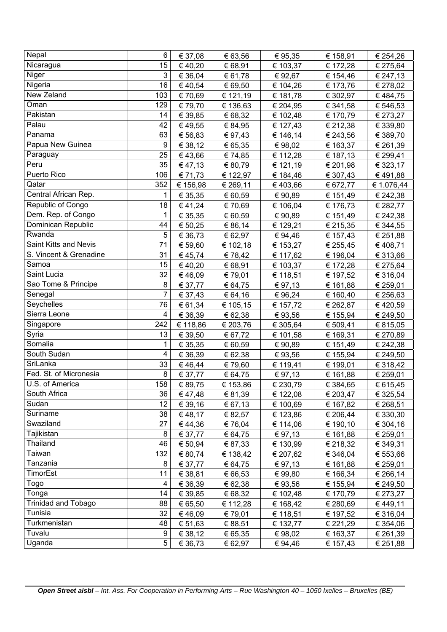| Nepal                               | 6              | € 37,08  | € 63,56  | € 95,35  | € 158,91 | € 254,26   |
|-------------------------------------|----------------|----------|----------|----------|----------|------------|
| Nicaragua                           | 15             | €40,20   | € 68,91  | € 103,37 | € 172,28 | € 275,64   |
| Niger                               | 3              | € 36,04  | € 61,78  | € 92,67  | € 154,46 | € 247,13   |
| Nigeria                             | 16             | €40,54   | € 69,50  | € 104,26 | € 173,76 | € 278,02   |
| <b>New Zeland</b>                   | 103            | € 70,69  | € 121,19 | € 181,78 | € 302,97 | €484,75    |
| Oman                                | 129            | € 79,70  | € 136,63 | € 204,95 | € 341,58 | € 546,53   |
| Pakistan                            | 14             | € 39,85  | € 68,32  | € 102,48 | € 170,79 | € 273,27   |
| Palau                               | 42             | €49,55   | € 84,95  | € 127,43 | € 212,38 | € 339,80   |
| Panama                              | 63             | € 56,83  | €97,43   | € 146,14 | € 243,56 | € 389,70   |
| Papua New Guinea                    | 9              | € 38,12  | € 65,35  | € 98,02  | € 163,37 | € 261,39   |
| Paraguay                            | 25             | €43,66   | € 74,85  | € 112,28 | € 187,13 | € 299,41   |
| Peru                                | 35             | € 47,13  | € 80,79  | € 121,19 | € 201,98 | € 323,17   |
| Puerto Rico                         | 106            | € 71,73  | € 122,97 | € 184,46 | € 307,43 | €491,88    |
| Qatar                               | 352            | € 156,98 | € 269,11 | €403,66  | € 672,77 | € 1.076,44 |
| Central African Rep.                | 1              | € 35,35  | € 60,59  | € 90,89  | € 151,49 | € 242,38   |
| Republic of Congo                   | 18             | €41,24   | € 70,69  | € 106,04 | € 176,73 | € 282,77   |
| Dem. Rep. of Congo                  | 1              | € 35,35  | € 60,59  | € 90,89  | € 151,49 | € 242,38   |
| Dominican Republic                  | 44             | € 50,25  | € 86,14  | € 129,21 | € 215,35 | € 344,55   |
| Rwanda                              | 5              | € 36,73  | € 62,97  | € 94,46  | € 157,43 | € 251,88   |
| Saint Kitts and Nevis               | 71             | € 59,60  | € 102,18 | € 153,27 | € 255,45 | €408,71    |
| S. Vincent & Grenadine              | 31             | € 45,74  | €78,42   | € 117,62 | € 196,04 | € 313,66   |
| Samoa                               | 15             | €40,20   | € 68,91  | € 103,37 | € 172,28 | € 275,64   |
| Saint Lucia                         | 32             | €46,09   | € 79,01  | € 118,51 | € 197,52 | € 316,04   |
| Sao Tome & Principe                 | 8              | € 37,77  | € 64,75  | € 97,13  | € 161,88 | € 259,01   |
| Senegal                             | $\overline{7}$ | € 37,43  | € 64,16  | € 96,24  | € 160,40 | € 256,63   |
| Seychelles                          | 76             | € 61,34  | € 105,15 | € 157,72 | € 262,87 | €420,59    |
| Sierra Leone                        | 4              | € 36,39  | € 62,38  | € 93,56  | € 155,94 | € 249,50   |
| Singapore                           | 242            | € 118,86 | € 203,76 | € 305,64 | € 509,41 | € 815,05   |
| Syria                               | 13             | € 39,50  | € 67,72  | € 101,58 | € 169,31 | € 270,89   |
| Somalia                             | 1              | € 35,35  | € 60,59  | € 90,89  | € 151,49 | € 242,38   |
| South Sudan                         | 4              | € 36,39  | € 62,38  | € 93,56  | € 155,94 | € 249,50   |
| SriLanka                            | 33             | €46,44   | €79,60   | € 119,41 | € 199,01 | € 318,42   |
| Fed. St. of Micronesia              | 8              | € 37,77  | € 64,75  | € 97,13  | € 161,88 | € 259,01   |
| U.S. of America                     | 158            | € 89,75  | € 153,86 | € 230,79 | € 384,65 | € 615,45   |
| South Africa                        | 36             | €47,48   | € 81,39  | € 122,08 | € 203,47 | € 325,54   |
| Sudan                               | 12             | € 39,16  | € 67,13  | € 100,69 | € 167,82 | € 268,51   |
| Suriname                            | 38             | € 48,17  | € 82,57  | € 123,86 | € 206,44 | € 330,30   |
| Swaziland                           | 27             | € 44,36  | € 76,04  | € 114,06 | € 190,10 | € 304,16   |
| Tajikistan                          | 8              | € 37,77  | € 64,75  | € 97,13  | € 161,88 | € 259,01   |
| Thailand                            | 46             | € 50,94  | € 87,33  | € 130,99 | € 218,32 | € 349,31   |
| Taiwan                              | 132            | € 80,74  | € 138,42 | € 207,62 | € 346,04 | € 553,66   |
| Tanzania<br>TimorEst                | 8              | € 37,77  | € 64,75  | € 97,13  | € 161,88 | € 259,01   |
|                                     | 11             | € 38,81  | € 66,53  | € 99,80  | € 166,34 | € 266,14   |
| Togo                                | 4              | € 36,39  | € 62,38  | € 93,56  | € 155,94 | € 249,50   |
| Tonga<br><b>Trinidad and Tobago</b> | 14             | € 39,85  | € 68,32  | € 102,48 | € 170,79 | € 273,27   |
| Tunisia                             | 88             | € 65,50  | € 112,28 | € 168,42 | € 280,69 | € 449,11   |
| Turkmenistan                        | 32             | €46,09   | € 79,01  | € 118,51 | € 197,52 | € 316,04   |
| Tuvalu                              | 48<br>9        | € 51,63  | € 88,51  | € 132,77 | € 221,29 | € 354,06   |
|                                     |                | € 38,12  | € 65,35  | € 98,02  | € 163,37 | € 261,39   |
| Uganda                              | 5              | € 36,73  | € 62,97  | € 94,46  | € 157,43 | € 251,88   |